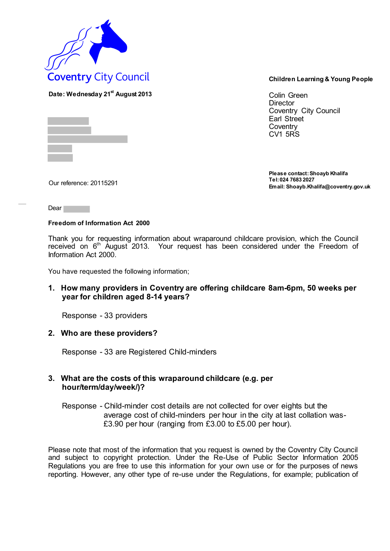

**Date: Wednesday 21 st August 2013** Colin Green **Director** Coventry City Council Earl Street **Coventry** CV1 5RS

**Please contact: Shoayb Khalifa Tel: 024 7683 2027 Email: Shoayb.Khalifa@coventry.gov.uk** Our reference: 20115291

Dear<sup>1</sup>

## **Freedom of Information Act 2000**

Thank you for requesting information about wraparound childcare provision, which the Council received on 6<sup>th</sup> August 2013. Your request has been considered under the Freedom of Information Act 2000.

You have requested the following information;

## **1. How many providers in Coventry are offering childcare 8am-6pm, 50 weeks per year for children aged 8-14 years?**

Response - 33 providers

## **2. Who are these providers?**

Response - 33 are Registered Child-minders

## **3. What are the costs of this wraparound childcare (e.g. per hour/term/day/week/)?**

Response - Child-minder cost details are not collected for over eights but the average cost of child-minders per hour in the city at last collation was- £3.90 per hour (ranging from £3.00 to £5.00 per hour).

Please note that most of the information that you request is owned by the Coventry City Council and subject to copyright protection. Under the Re-Use of Public Sector Information 2005 Regulations you are free to use this information for your own use or for the purposes of news reporting. However, any other type of re-use under the Regulations, for example; publication of